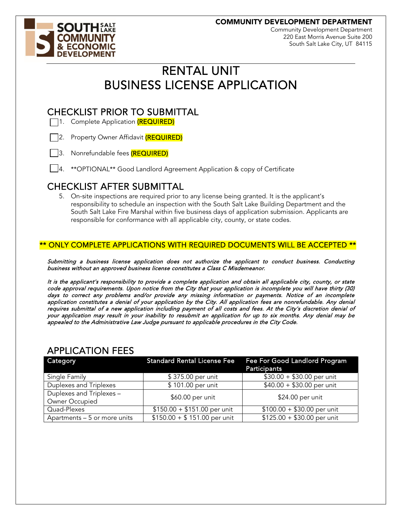COMMUNITY DEVELOPMENT DEPARTMENT



Community Development Department 220 East Morris Avenue Suite 200 South Salt Lake City, UT 84115

## RENTAL UNIT BUSINESS LICENSE APPLICATION

# **CHECKLIST PRIOR TO SUBMITTAL**<br>  $\Box$ 1. Complete Application (REQUIRED)



- | 3. Nonrefundable fees (REQUIRED)
- 4. \*\*OPTIONAL\*\* Good Landlord Agreement Application & copy of Certificate

CHECKLIST AFTER SUBMITTAL 5. On-site inspections are required prior to any license being granted. It is the applicant's responsibility to schedule an inspection with the South Salt Lake Building Department and the South Salt Lake Fire Marshal within five business days of application submission. Applicants are responsible for conformance with all applicable city, county, or state codes.

### \*\* ONLY COMPLETE APPLICATIONS WITH REQUIRED DOCUMENTS WILL BE ACCEPTED \*\*

Submitting a business license application does not authorize the applicant to conduct business. Conducting business without an approved business license constitutes a Class C Misdemeanor.

It is the applicant's responsibility to provide a complete application and obtain all applicable city, county, or state code approval requirements. Upon notice from the City that your application is incomplete you will have thirty (30) days to correct any problems and/or provide any missing information or payments. Notice of an incomplete application constitutes a denial of your application by the City. All application fees are nonrefundable. Any denial requires submittal of a new application including payment of all costs and fees. At the City's discretion denial of your application may result in your inability to resubmit an application for up to six months. Any denial may be appealed to the Administrative Law Judge pursuant to applicable procedures in the City Code.

| Category                                   | <b>Standard Rental License Fee</b> | Fee For Good Landlord Program<br>Participants |  |  |
|--------------------------------------------|------------------------------------|-----------------------------------------------|--|--|
| Single Family                              | \$375.00 per unit                  | $$30.00 + $30.00$ per unit                    |  |  |
| Duplexes and Triplexes                     | \$101.00 per unit                  | $$40.00 + $30.00$ per unit                    |  |  |
| Duplexes and Triplexes -<br>Owner Occupied | \$60.00 per unit                   | \$24.00 per unit                              |  |  |
| Quad-Plexes                                | $$150.00 + $151.00$ per unit       | $$100.00 + $30.00$ per unit                   |  |  |
| Apartments - 5 or more units               | $$150.00 + $151.00$ per unit       | $$125.00 + $30.00$ per unit                   |  |  |

### **APPLICATION FEES**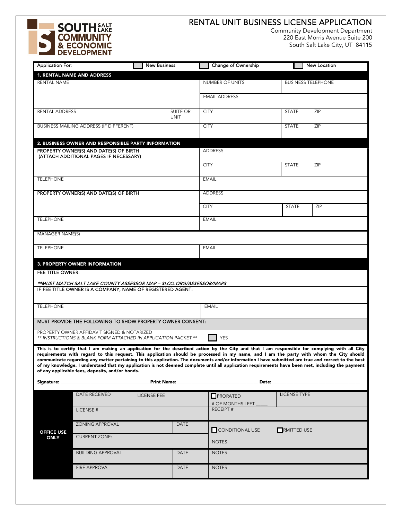

### RENTAL UNIT BUSINESS LICENSE APPLICATION

Community Development Department<br>220 East Morris Avenue Suite 200 South Salt Lake City, UT 84115

| <b>Application For:</b> |                                                                                                                                                                                                                                                                                                                                                            |                    | <b>New Business</b> |                         | Change of Ownership          |                                                                                                                                                                                                                                | <b>New Location</b>                                                                                                                                                                                                                                                                      |  |
|-------------------------|------------------------------------------------------------------------------------------------------------------------------------------------------------------------------------------------------------------------------------------------------------------------------------------------------------------------------------------------------------|--------------------|---------------------|-------------------------|------------------------------|--------------------------------------------------------------------------------------------------------------------------------------------------------------------------------------------------------------------------------|------------------------------------------------------------------------------------------------------------------------------------------------------------------------------------------------------------------------------------------------------------------------------------------|--|
|                         | 1. RENTAL NAME AND ADDRESS                                                                                                                                                                                                                                                                                                                                 |                    |                     |                         |                              |                                                                                                                                                                                                                                |                                                                                                                                                                                                                                                                                          |  |
| <b>RENTAL NAME</b>      |                                                                                                                                                                                                                                                                                                                                                            |                    |                     |                         | <b>NUMBER OF UNITS</b>       |                                                                                                                                                                                                                                | <b>BUSINESS TELEPHONE</b>                                                                                                                                                                                                                                                                |  |
|                         |                                                                                                                                                                                                                                                                                                                                                            |                    |                     |                         | <b>EMAIL ADDRESS</b>         |                                                                                                                                                                                                                                |                                                                                                                                                                                                                                                                                          |  |
| RENTAL ADDRESS          |                                                                                                                                                                                                                                                                                                                                                            |                    |                     | SUITE OR<br><b>CITY</b> |                              | <b>STATE</b>                                                                                                                                                                                                                   | ZIP                                                                                                                                                                                                                                                                                      |  |
|                         |                                                                                                                                                                                                                                                                                                                                                            |                    | <b>UNIT</b>         |                         |                              |                                                                                                                                                                                                                                |                                                                                                                                                                                                                                                                                          |  |
|                         | BUSINESS MAILING ADDRESS (IF DIFFERENT)                                                                                                                                                                                                                                                                                                                    |                    |                     | <b>CITY</b>             |                              | <b>STATE</b>                                                                                                                                                                                                                   | ZIP                                                                                                                                                                                                                                                                                      |  |
|                         | 2. BUSINESS OWNER AND RESPONSIBLE PARTY INFORMATION                                                                                                                                                                                                                                                                                                        |                    |                     |                         |                              |                                                                                                                                                                                                                                |                                                                                                                                                                                                                                                                                          |  |
|                         | PROPERTY OWNER(S) AND DATE(S) OF BIRTH<br>(ATTACH ADDITIONAL PAGES IF NECESSARY)                                                                                                                                                                                                                                                                           |                    |                     |                         | <b>ADDRESS</b>               |                                                                                                                                                                                                                                |                                                                                                                                                                                                                                                                                          |  |
|                         |                                                                                                                                                                                                                                                                                                                                                            |                    |                     | <b>CITY</b>             |                              | <b>STATE</b>                                                                                                                                                                                                                   | ZIP                                                                                                                                                                                                                                                                                      |  |
| <b>TELEPHONE</b>        |                                                                                                                                                                                                                                                                                                                                                            |                    |                     |                         | <b>EMAIL</b>                 |                                                                                                                                                                                                                                |                                                                                                                                                                                                                                                                                          |  |
|                         | PROPERTY OWNER(S) AND DATE(S) OF BIRTH                                                                                                                                                                                                                                                                                                                     |                    |                     |                         | <b>ADDRESS</b>               |                                                                                                                                                                                                                                |                                                                                                                                                                                                                                                                                          |  |
|                         |                                                                                                                                                                                                                                                                                                                                                            |                    |                     | <b>CITY</b>             |                              | <b>STATE</b>                                                                                                                                                                                                                   | ZIP                                                                                                                                                                                                                                                                                      |  |
| <b>TELEPHONE</b>        |                                                                                                                                                                                                                                                                                                                                                            |                    |                     |                         | <b>EMAIL</b>                 |                                                                                                                                                                                                                                |                                                                                                                                                                                                                                                                                          |  |
| MANAGER NAME(S)         |                                                                                                                                                                                                                                                                                                                                                            |                    |                     |                         |                              |                                                                                                                                                                                                                                |                                                                                                                                                                                                                                                                                          |  |
| <b>TELEPHONE</b>        |                                                                                                                                                                                                                                                                                                                                                            |                    |                     |                         | <b>EMAIL</b>                 |                                                                                                                                                                                                                                |                                                                                                                                                                                                                                                                                          |  |
|                         | 3. PROPERTY OWNER INFORMATION                                                                                                                                                                                                                                                                                                                              |                    |                     |                         |                              |                                                                                                                                                                                                                                |                                                                                                                                                                                                                                                                                          |  |
| FEE TITLE OWNER:        |                                                                                                                                                                                                                                                                                                                                                            |                    |                     |                         |                              |                                                                                                                                                                                                                                |                                                                                                                                                                                                                                                                                          |  |
|                         | **MUST MATCH SALT LAKE COUNTY ASSESSOR MAP - SLCO.ORG/ASSESSOR/MAPS                                                                                                                                                                                                                                                                                        |                    |                     |                         |                              |                                                                                                                                                                                                                                |                                                                                                                                                                                                                                                                                          |  |
|                         | IF FEE TITLE OWNER IS A COMPANY, NAME OF REGISTERED AGENT:                                                                                                                                                                                                                                                                                                 |                    |                     |                         |                              |                                                                                                                                                                                                                                |                                                                                                                                                                                                                                                                                          |  |
|                         |                                                                                                                                                                                                                                                                                                                                                            |                    |                     |                         |                              |                                                                                                                                                                                                                                |                                                                                                                                                                                                                                                                                          |  |
| <b>TELEPHONE</b>        |                                                                                                                                                                                                                                                                                                                                                            |                    |                     |                         | <b>EMAIL</b>                 |                                                                                                                                                                                                                                |                                                                                                                                                                                                                                                                                          |  |
|                         | MUST PROVIDE THE FOLLOWING TO SHOW PROPERTY OWNER CONSENT:                                                                                                                                                                                                                                                                                                 |                    |                     |                         |                              |                                                                                                                                                                                                                                |                                                                                                                                                                                                                                                                                          |  |
|                         | PROPERTY OWNER AFFIDAVIT SIGNED & NOTARIZED                                                                                                                                                                                                                                                                                                                |                    |                     |                         |                              |                                                                                                                                                                                                                                |                                                                                                                                                                                                                                                                                          |  |
|                         | <b>YES</b><br>** INSTRUCTIONS & BLANK FORM ATTACHED IN APPLICATION PACKET **                                                                                                                                                                                                                                                                               |                    |                     |                         |                              |                                                                                                                                                                                                                                |                                                                                                                                                                                                                                                                                          |  |
|                         | communicate regarding any matter pertaining to this application. The documents and/or information I have submitted are true and correct to the best<br>of my knowledge. I understand that my application is not deemed complete until all application requirements have been met, including the payment<br>of any applicable fees, deposits, and/or bonds. |                    |                     |                         |                              |                                                                                                                                                                                                                                | This is to certify that I am making an application for the described action by the City and that I am responsible for complying with all City<br>requirements with regard to this request. This application should be processed in my name, and I am the party with whom the City should |  |
| Signature: _            |                                                                                                                                                                                                                                                                                                                                                            |                    |                     |                         |                              | Date: the contract of the contract of the contract of the contract of the contract of the contract of the contract of the contract of the contract of the contract of the contract of the contract of the contract of the cont |                                                                                                                                                                                                                                                                                          |  |
|                         | <b>DATE RECEIVED</b>                                                                                                                                                                                                                                                                                                                                       | <b>LICENSE FEE</b> |                     |                         | PRORATED<br># OF MONTHS LEFT | <b>LICENSE TYPE</b>                                                                                                                                                                                                            |                                                                                                                                                                                                                                                                                          |  |
|                         | LICENSE#                                                                                                                                                                                                                                                                                                                                                   |                    |                     |                         | <b>RECEIPT#</b>              |                                                                                                                                                                                                                                |                                                                                                                                                                                                                                                                                          |  |
| <b>OFFICE USE</b>       | <b>ZONING APPROVAL</b><br>DATE                                                                                                                                                                                                                                                                                                                             |                    |                     | CONDITIONAL USE         | RMITTED USE                  |                                                                                                                                                                                                                                |                                                                                                                                                                                                                                                                                          |  |
| <b>ONLY</b>             | <b>CURRENT ZONE:</b>                                                                                                                                                                                                                                                                                                                                       |                    |                     |                         | <b>NOTES</b>                 |                                                                                                                                                                                                                                |                                                                                                                                                                                                                                                                                          |  |
|                         | <b>BUILDING APPROVAL</b><br><b>DATE</b>                                                                                                                                                                                                                                                                                                                    |                    |                     | <b>NOTES</b>            |                              |                                                                                                                                                                                                                                |                                                                                                                                                                                                                                                                                          |  |
|                         | <b>FIRE APPROVAL</b>                                                                                                                                                                                                                                                                                                                                       |                    |                     | DATE                    | <b>NOTES</b>                 |                                                                                                                                                                                                                                |                                                                                                                                                                                                                                                                                          |  |
|                         |                                                                                                                                                                                                                                                                                                                                                            |                    |                     |                         |                              |                                                                                                                                                                                                                                |                                                                                                                                                                                                                                                                                          |  |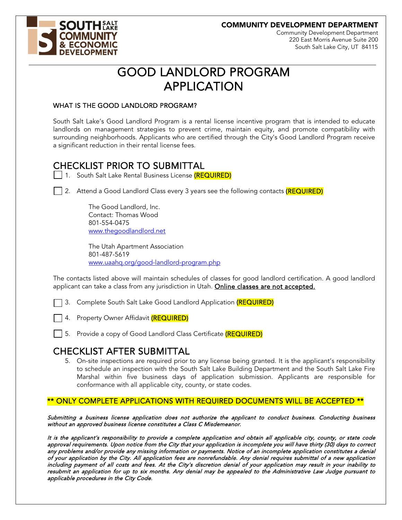COMMUNITY DEVELOPMENT DEPARTMENT



Community Development Department 220 East Morris Avenue Suite 200 South Salt Lake City, UT 84115

# GOOD LANDLORD PROGRAM APPLICATION

#### WHAT IS THE GOOD LANDLORD PROGRAM?

South Salt Lake's Good Landlord Program is a rental license incentive program that is intended to educate landlords on management strategies to prevent crime, maintain equity, and promote compatibility with surrounding neighborhoods. Applicants who are certified through the City's Good Landlord Program receive a significant reduction in their rental license fees.

# CHECKLIST PRIOR TO SUBMITTAL<br>  $\Box$  1. South Salt Lake Rental Business License <mark>(REQUIRED)</mark>



The Good Landlord, Inc. Contact: Thomas Wood 801-554-0475 [www.thegoodlandlord.net](http://www.thegoodlandlord.net/) 

The Utah Apartment Association 801-487-5619 [www.uaahq.org/good-landlord-program.php](http://www.uaahq.org/good-landlord-program.php) 

The contacts listed above will maintain schedules of classes for good landlord certification. A good landlord applicant can take a class from any jurisdiction in Utah. Online classes are not accepted.

3. Complete South Salt Lake Good Landlord Application (REQUIRED)

4. Property Owner Affidavit (REQUIRED)

| 5. Provide a copy of Good Landlord Class Certificate (REQUIRED)

CHECKLIST AFTER SUBMITTAL 5. On-site inspections are required prior to any license being granted. It is the applicant's responsibility to schedule an inspection with the South Salt Lake Building Department and the South Salt Lake Fire Marshal within five business days of application submission. Applicants are responsible for conformance with all applicable city, county, or state codes.

### \*\* ONLY COMPLETE APPLICATIONS WITH REQUIRED DOCUMENTS WILL BE ACCEPTED \*\*

Submitting a business license application does not authorize the applicant to conduct business. Conducting business without an approved business license constitutes a Class C Misdemeanor.

It is the applicant's responsibility to provide a complete application and obtain all applicable city, county, or state code approval requirements. Upon notice from the City that your application is incomplete you will have thirty (30) days to correct any problems and/or provide any missing information or payments. Notice of an incomplete application constitutes a denial of your application by the City. All application fees are nonrefundable. Any denial requires submittal of a new application including payment of all costs and fees. At the City's discretion denial of your application may result in your inability to resubmit an application for up to six months. Any denial may be appealed to the Administrative Law Judge pursuant to applicable procedures in the City Code.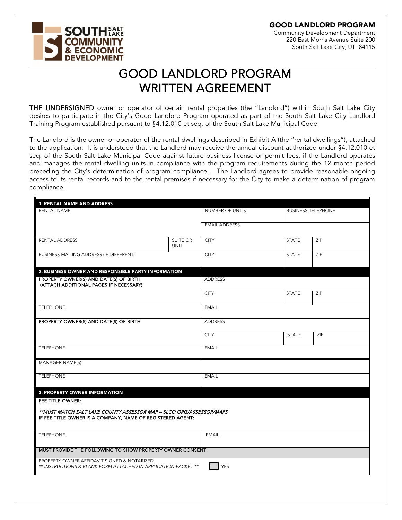GOOD LANDLORD PROGRAM

Community Development Department 220 East Morris Avenue Suite 200 South Salt Lake City, UT 84115

# **SOUTHEALT ELOPMENT**

## GOOD LANDLORD PROGRAM WRITTEN AGREEMENT

THE UNDERSIGNED owner or operator of certain rental properties (the "Landlord") within South Salt Lake City desires to participate in the City's Good Landlord Program operated as part of the South Salt Lake City Landlord Training Program established pursuant to §4.12.010 et seq. of the South Salt Lake Municipal Code.

The Landlord is the owner or operator of the rental dwellings described in Exhibit A (the "rental dwellings"), attached to the application. It is understood that the Landlord may receive the annual discount authorized under §4.12.010 et seq. of the South Salt Lake Municipal Code against future business license or permit fees, if the Landlord operates and manages the rental dwelling units in compliance with the program requirements during the 12 month period preceding the City's determination of program compliance. The Landlord agrees to provide reasonable ongoing access to its rental records and to the rental premises if necessary for the City to make a determination of program compliance.

| 1. RENTAL NAME AND ADDRESS<br><b>RENTAL NAME</b>                                                                                  |                         | <b>NUMBER OF UNITS</b> |              | <b>BUSINESS TELEPHONE</b> |
|-----------------------------------------------------------------------------------------------------------------------------------|-------------------------|------------------------|--------------|---------------------------|
|                                                                                                                                   |                         |                        |              |                           |
|                                                                                                                                   |                         | <b>EMAIL ADDRESS</b>   |              |                           |
| <b>RENTAL ADDRESS</b>                                                                                                             | SUITE OR<br><b>UNIT</b> | <b>CITY</b>            | <b>STATE</b> | ZIP                       |
| BUSINESS MAILING ADDRESS (IF DIFFERENT)                                                                                           |                         | <b>CITY</b>            | STATE        | ZIP                       |
| 2. BUSINESS OWNER AND RESPONSIBLE PARTY INFORMATION                                                                               |                         |                        |              |                           |
| PROPERTY OWNER(S) AND DATE(S) OF BIRTH<br>(ATTACH ADDITIONAL PAGES IF NECESSARY)                                                  |                         | <b>ADDRESS</b>         |              |                           |
|                                                                                                                                   |                         | <b>CITY</b>            | <b>STATE</b> | ZIP                       |
| <b>TELEPHONE</b>                                                                                                                  |                         | <b>EMAIL</b>           |              |                           |
| PROPERTY OWNER(S) AND DATE(S) OF BIRTH                                                                                            |                         | <b>ADDRESS</b>         |              |                           |
|                                                                                                                                   |                         | <b>CITY</b>            | <b>STATE</b> | <b>ZIP</b>                |
| <b>TELEPHONE</b>                                                                                                                  |                         | <b>EMAIL</b>           |              |                           |
| <b>MANAGER NAME(S)</b>                                                                                                            |                         |                        |              |                           |
| <b>TELEPHONE</b>                                                                                                                  |                         | <b>EMAIL</b>           |              |                           |
| 3. PROPERTY OWNER INFORMATION                                                                                                     |                         |                        |              |                           |
| <b>FEE TITLE OWNER:</b>                                                                                                           |                         |                        |              |                           |
| **MUST MATCH SALT LAKE COUNTY ASSESSOR MAP - SLCO.ORG/ASSESSOR/MAPS<br>IF FEE TITLE OWNER IS A COMPANY, NAME OF REGISTERED AGENT: |                         |                        |              |                           |
|                                                                                                                                   |                         |                        |              |                           |
| <b>TELEPHONE</b>                                                                                                                  |                         | <b>EMAIL</b>           |              |                           |
| MUST PROVIDE THE FOLLOWING TO SHOW PROPERTY OWNER CONSENT:                                                                        |                         |                        |              |                           |
| PROPERTY OWNER AFFIDAVIT SIGNED & NOTARIZED<br>** INSTRUCTIONS & BLANK FORM ATTACHED IN APPLICATION PACKET **                     |                         | <b>YES</b>             |              |                           |
|                                                                                                                                   |                         |                        |              |                           |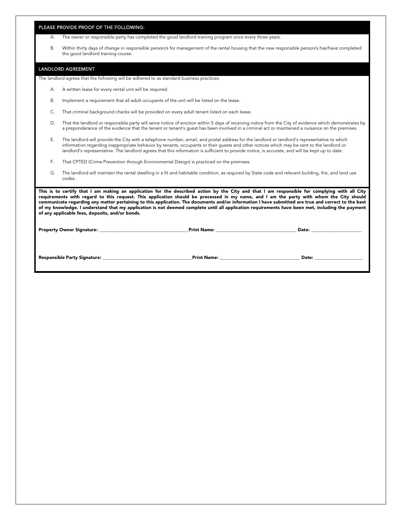|           |                                                                                              | <b>Print Name:</b> The contract of the contract of the contract of the contract of the contract of the contract of the contract of the contract of the contract of the contract of the contract of the contract of the contract of                                                                                                                                                                                                                                                                                                                                                                  |  |  |  |  |
|-----------|----------------------------------------------------------------------------------------------|-----------------------------------------------------------------------------------------------------------------------------------------------------------------------------------------------------------------------------------------------------------------------------------------------------------------------------------------------------------------------------------------------------------------------------------------------------------------------------------------------------------------------------------------------------------------------------------------------------|--|--|--|--|
|           | of any applicable fees, deposits, and/or bonds.                                              | This is to certify that I am making an application for the described action by the City and that I am responsible for complying with all City<br>requirements with regard to this request. This application should be processed in my name, and I am the party with whom the City should<br>communicate regarding any matter pertaining to this application. The documents and/or information I have submitted are true and correct to the best<br>of my knowledge. I understand that my application is not deemed complete until all application requirements have been met, including the payment |  |  |  |  |
| G.        | codes.                                                                                       | The landlord will maintain the rental dwelling in a fit and habitable condition, as required by State code and relevant building, fire, and land use                                                                                                                                                                                                                                                                                                                                                                                                                                                |  |  |  |  |
| F.        |                                                                                              | That CPTED (Crime Prevention through Environmental Design) is practiced on the premises.                                                                                                                                                                                                                                                                                                                                                                                                                                                                                                            |  |  |  |  |
| Ε.        |                                                                                              | The landlord will provide the City with a telephone number, email, and postal address for the landlord or landlord's representative to which<br>information regarding inappropriate behavior by tenants, occupants or their quests and other notices which may be sent to the landlord or<br>landlord's representative. The landlord agrees that this information is sufficient to provide notice, is accurate, and will be kept up to date.                                                                                                                                                        |  |  |  |  |
| D.        |                                                                                              | That the landlord or responsible party will serve notice of eviction within 5 days of receiving notice from the City of evidence which demonstrates by<br>a preponderance of the evidence that the tenant or tenant's quest has been involved in a criminal act or maintained a nuisance on the premises.                                                                                                                                                                                                                                                                                           |  |  |  |  |
| C.        | That criminal background checks will be provided on every adult tenant listed on each lease. |                                                                                                                                                                                                                                                                                                                                                                                                                                                                                                                                                                                                     |  |  |  |  |
| <b>B.</b> |                                                                                              | Implement a requirement that all adult occupants of the unit will be listed on the lease.                                                                                                                                                                                                                                                                                                                                                                                                                                                                                                           |  |  |  |  |
| А.        | A written lease for every rental unit will be required.                                      |                                                                                                                                                                                                                                                                                                                                                                                                                                                                                                                                                                                                     |  |  |  |  |
|           |                                                                                              | The landlord agrees that the following will be adhered to as standard business practices:                                                                                                                                                                                                                                                                                                                                                                                                                                                                                                           |  |  |  |  |
|           | LANDLORD AGREEMENT                                                                           |                                                                                                                                                                                                                                                                                                                                                                                                                                                                                                                                                                                                     |  |  |  |  |
| <b>B.</b> | the good landlord training course.                                                           | Within thirty days of change in responsible person/s for management of the rental housing that the new responsible person/s has/have completed                                                                                                                                                                                                                                                                                                                                                                                                                                                      |  |  |  |  |
| А.        |                                                                                              | The owner or responsible party has completed the good landlord training program once every three years.                                                                                                                                                                                                                                                                                                                                                                                                                                                                                             |  |  |  |  |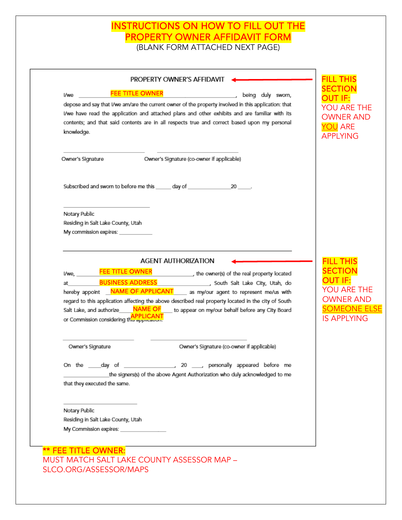### INSTRUCTIONS ON HOW TO FILL OUT THE PROPERTY OWNER AFFIDAVIT FORM

(BLANK FORM ATTACHED NEXT PAGE)

| l/we                         | <b>FEE TITLE OWNER</b><br>depose and say that I/we am/are the current owner of the property involved in this application: that | being duly sworn,                                                      |
|------------------------------|--------------------------------------------------------------------------------------------------------------------------------|------------------------------------------------------------------------|
|                              | I/we have read the application and attached plans and other exhibits and are familiar with its                                 | YOU ARE THE                                                            |
|                              | contents; and that said contents are in all respects true and correct based upon my personal                                   | <b>OWNER AND</b>                                                       |
| knowledge.                   |                                                                                                                                | <b>YOU ARE</b><br><b>APPLYING</b>                                      |
|                              |                                                                                                                                |                                                                        |
| Owner's Signature            | Owner's Signature (co-owner if applicable)                                                                                     |                                                                        |
|                              | Subscribed and sworn to before me this ______ day of _______________                                                           | $20$ ______.                                                           |
| Notary Public                |                                                                                                                                |                                                                        |
|                              | Residing in Salt Lake County, Utah                                                                                             |                                                                        |
|                              | My commission expires: ____________                                                                                            |                                                                        |
|                              |                                                                                                                                |                                                                        |
| l/we.                        | <b>AGENT AUTHORIZATION</b><br><b>FEE TITLE OWNER</b>                                                                           | the owner(s) of the real property located                              |
| at                           | <b>BUSINESS ADDRESS</b>                                                                                                        | South Salt Lake City, Utah, do                                         |
|                              | hereby appoint NAME OF APPLICANT as my/our agent to represent me/us with                                                       | OU ARE THE                                                             |
|                              | regard to this application affecting the above described real property located in the city of South                            | OWNER AND                                                              |
| Salt Lake, and authorize     | <b>NAME OF</b>                                                                                                                 | <b>OMEONE ELSE</b><br>to appear on my/our behalf before any City Board |
|                              | or Commission considering this application.                                                                                    | <b>IS APPLYING</b>                                                     |
| Owner's Signature            |                                                                                                                                | Owner's Signature (co-owner if applicable)                             |
|                              |                                                                                                                                |                                                                        |
|                              | the signers(s) of the above Agent Authorization who duly acknowledged to me                                                    |                                                                        |
|                              |                                                                                                                                |                                                                        |
| that they executed the same. |                                                                                                                                |                                                                        |
|                              |                                                                                                                                |                                                                        |
| Notary Public                | Residing in Salt Lake County, Utah                                                                                             |                                                                        |
|                              |                                                                                                                                |                                                                        |